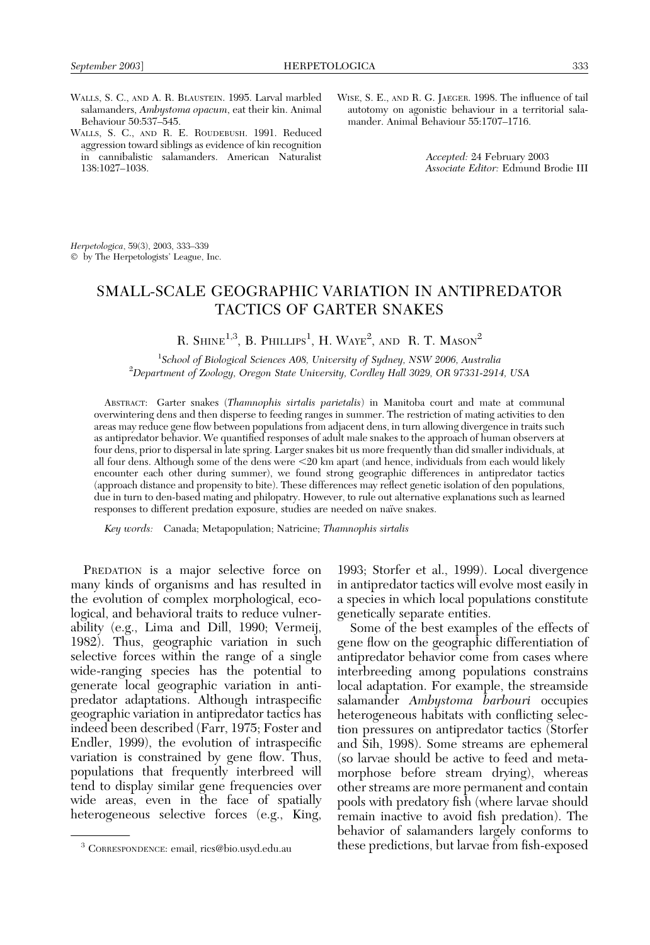WISE, S. E., AND R. G. JAEGER. 1998. The influence of tail autotomy on agonistic behaviour in a territorial sala-

mander. Animal Behaviour 55:1707–1716.

WALLS, S. C., AND A. R. BLAUSTEIN. 1995. Larval marbled salamanders, Ambystoma opacum, eat their kin. Animal Behaviour 50:537–545. WALLS, S. C., AND R. E. ROUDEBUSH. 1991. Reduced

aggression toward siblings as evidence of kin recognition in cannibalistic salamanders. American Naturalist 138:1027–1038.

Accepted: 24 February 2003 Associate Editor: Edmund Brodie III

Herpetologica, 59(3), 2003, 333–339 by The Herpetologists' League, Inc.

# SMALL-SCALE GEOGRAPHIC VARIATION IN ANTIPREDATOR TACTICS OF GARTER SNAKES

R. Shine<sup>1,3</sup>, B. Phillips<sup>1</sup>, H. Waye<sup>2</sup>, and R. T. Mason<sup>2</sup>

1 School of Biological Sciences A08, University of Sydney, NSW 2006, Australia <sup>2</sup> <sup>2</sup>Department of Zoology, Oregon State University, Cordley Hall 3029, OR 97331-2914, USA

ABSTRACT: Garter snakes (Thamnophis sirtalis parietalis) in Manitoba court and mate at communal overwintering dens and then disperse to feeding ranges in summer. The restriction of mating activities to den areas may reduce gene flow between populations from adjacent dens, in turn allowing divergence in traits such as antipredator behavior. We quantified responses of adult male snakes to the approach of human observers at four dens, prior to dispersal in late spring. Larger snakes bit us more frequently than did smaller individuals, at all four dens. Although some of the dens were  $\leq$ 20 km apart (and hence, individuals from each would likely encounter each other during summer), we found strong geographic differences in antipredator tactics (approach distance and propensity to bite). These differences may reflect genetic isolation of den populations, due in turn to den-based mating and philopatry. However, to rule out alternative explanations such as learned responses to different predation exposure, studies are needed on naïve snakes.

Key words: Canada; Metapopulation; Natricine; Thamnophis sirtalis

PREDATION is a major selective force on many kinds of organisms and has resulted in the evolution of complex morphological, ecological, and behavioral traits to reduce vulnerability (e.g., Lima and Dill, 1990; Vermeij, 1982). Thus, geographic variation in such selective forces within the range of a single wide-ranging species has the potential to generate local geographic variation in antipredator adaptations. Although intraspecific geographic variation in antipredator tactics has indeed been described (Farr, 1975; Foster and Endler, 1999), the evolution of intraspecific variation is constrained by gene flow. Thus, populations that frequently interbreed will tend to display similar gene frequencies over wide areas, even in the face of spatially heterogeneous selective forces (e.g., King, 1993; Storfer et al., 1999). Local divergence in antipredator tactics will evolve most easily in a species in which local populations constitute genetically separate entities.

Some of the best examples of the effects of gene flow on the geographic differentiation of antipredator behavior come from cases where interbreeding among populations constrains local adaptation. For example, the streamside salamander Ambystoma barbouri occupies heterogeneous habitats with conflicting selection pressures on antipredator tactics (Storfer and Sih, 1998). Some streams are ephemeral (so larvae should be active to feed and metamorphose before stream drying), whereas other streams are more permanent and contain pools with predatory fish (where larvae should remain inactive to avoid fish predation). The behavior of salamanders largely conforms to <sup>3</sup> CORRESPONDENCE: email, rics@bio.usyd.edu.au these predictions, but larvae from fish-exposed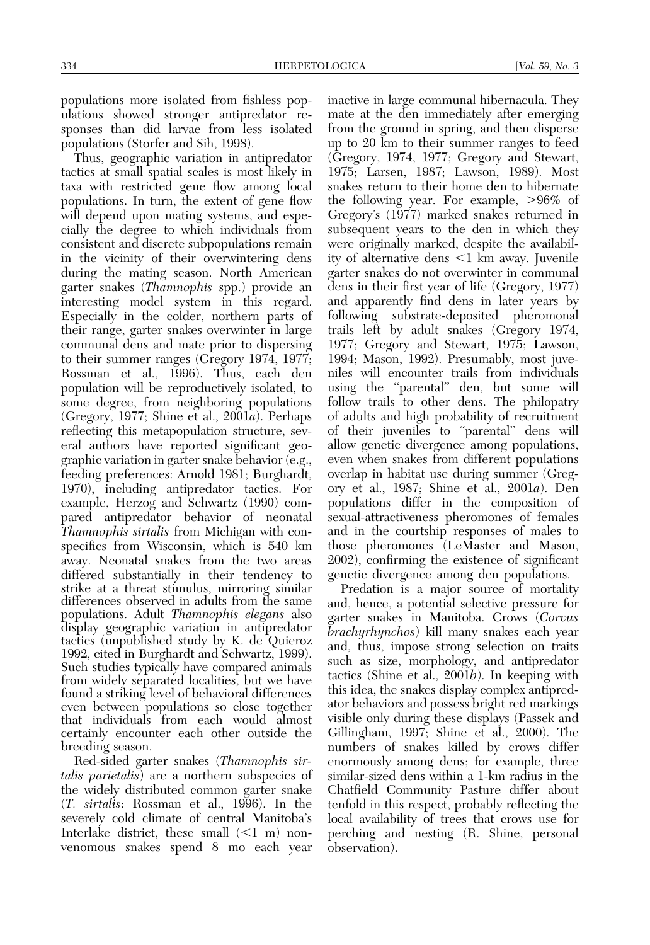populations more isolated from fishless populations showed stronger antipredator responses than did larvae from less isolated populations (Storfer and Sih, 1998).

Thus, geographic variation in antipredator tactics at small spatial scales is most likely in taxa with restricted gene flow among local populations. In turn, the extent of gene flow will depend upon mating systems, and especially the degree to which individuals from consistent and discrete subpopulations remain in the vicinity of their overwintering dens during the mating season. North American garter snakes (Thamnophis spp.) provide an interesting model system in this regard. Especially in the colder, northern parts of their range, garter snakes overwinter in large communal dens and mate prior to dispersing to their summer ranges (Gregory 1974, 1977; Rossman et al., 1996). Thus, each den population will be reproductively isolated, to some degree, from neighboring populations (Gregory, 1977; Shine et al.,  $2001a$ ). Perhaps reflecting this metapopulation structure, several authors have reported significant geographic variation in garter snake behavior (e.g., feeding preferences: Arnold 1981; Burghardt, 1970), including antipredator tactics. For example, Herzog and Schwartz (1990) compared antipredator behavior of neonatal Thamnophis sirtalis from Michigan with conspecifics from Wisconsin, which is 540 km away. Neonatal snakes from the two areas differed substantially in their tendency to strike at a threat stimulus, mirroring similar differences observed in adults from the same populations. Adult Thamnophis elegans also display geographic variation in antipredator tactics (unpublished study by K. de Quieroz 1992, cited in Burghardt and Schwartz, 1999). Such studies typically have compared animals from widely separated localities, but we have found a striking level of behavioral differences even between populations so close together that individuals from each would almost certainly encounter each other outside the breeding season.

Red-sided garter snakes (Thamnophis sirtalis parietalis) are a northern subspecies of the widely distributed common garter snake (T. sirtalis: Rossman et al., 1996). In the severely cold climate of central Manitoba's Interlake district, these small  $(<1$  m) nonvenomous snakes spend 8 mo each year inactive in large communal hibernacula. They mate at the den immediately after emerging from the ground in spring, and then disperse up to 20 km to their summer ranges to feed (Gregory, 1974, 1977; Gregory and Stewart, 1975; Larsen, 1987; Lawson, 1989). Most snakes return to their home den to hibernate the following year. For example,  $>96\%$  of Gregory's (1977) marked snakes returned in subsequent years to the den in which they were originally marked, despite the availability of alternative dens  $\leq 1$  km away. Juvenile garter snakes do not overwinter in communal dens in their first year of life (Gregory, 1977) and apparently find dens in later years by following substrate-deposited pheromonal trails left by adult snakes (Gregory 1974, 1977; Gregory and Stewart, 1975; Lawson, 1994; Mason, 1992). Presumably, most juveniles will encounter trails from individuals using the "parental" den, but some will follow trails to other dens. The philopatry of adults and high probability of recruitment of their juveniles to ''parental'' dens will allow genetic divergence among populations, even when snakes from different populations overlap in habitat use during summer (Gregory et al., 1987; Shine et al., 2001a). Den populations differ in the composition of sexual-attractiveness pheromones of females and in the courtship responses of males to those pheromones (LeMaster and Mason, 2002), confirming the existence of significant genetic divergence among den populations.

Predation is a major source of mortality and, hence, a potential selective pressure for garter snakes in Manitoba. Crows (Corvus brachyrhynchos) kill many snakes each year and, thus, impose strong selection on traits such as size, morphology, and antipredator tactics (Shine et al.,  $2001b$ ). In keeping with this idea, the snakes display complex antipredator behaviors and possess bright red markings visible only during these displays (Passek and Gillingham, 1997; Shine et al., 2000). The numbers of snakes killed by crows differ enormously among dens; for example, three similar-sized dens within a 1-km radius in the Chatfield Community Pasture differ about tenfold in this respect, probably reflecting the local availability of trees that crows use for perching and nesting (R. Shine, personal observation).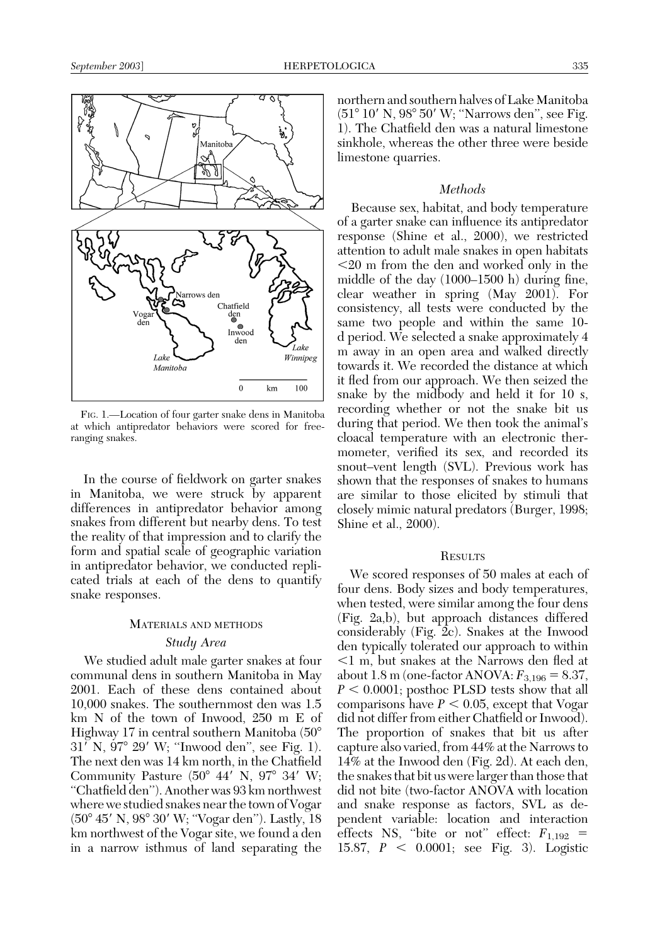

FIG. 1.—Location of four garter snake dens in Manitoba at which antipredator behaviors were scored for freeranging snakes.

In the course of fieldwork on garter snakes in Manitoba, we were struck by apparent differences in antipredator behavior among snakes from different but nearby dens. To test the reality of that impression and to clarify the form and spatial scale of geographic variation in antipredator behavior, we conducted replicated trials at each of the dens to quantify snake responses.

## MATERIALS AND METHODS

## Study Area

We studied adult male garter snakes at four communal dens in southern Manitoba in May 2001. Each of these dens contained about 10,000 snakes. The southernmost den was 1.5 km N of the town of Inwood, 250 m E of Highway 17 in central southern Manitoba (508  $31^{7}$  N,  $97^{\circ}$  29' W; "Inwood den", see Fig. 1). The next den was 14 km north, in the Chatfield Community Pasture  $(50^{\circ}$  44' N, 97° 34' W; ''Chatfield den''). Another was 93 km northwest where we studied snakes near the town of Vogar (50° 45' N, 98° 30' W; "Vogar den"). Lastly, 18 km northwest of the Vogar site, we found a den in a narrow isthmus of land separating the northern and southern halves of Lake Manitoba  $(51°10' N, 98°50' W;$  "Narrows den", see Fig. 1). The Chatfield den was a natural limestone sinkhole, whereas the other three were beside limestone quarries.

## **Methods**

Because sex, habitat, and body temperature of a garter snake can influence its antipredator response (Shine et al., 2000), we restricted attention to adult male snakes in open habitats  $\leq$ 20 m from the den and worked only in the middle of the day (1000–1500 h) during fine, clear weather in spring (May 2001). For consistency, all tests were conducted by the same two people and within the same 10 d period. We selected a snake approximately 4 m away in an open area and walked directly towards it. We recorded the distance at which it fled from our approach. We then seized the snake by the midbody and held it for 10 s, recording whether or not the snake bit us during that period. We then took the animal's cloacal temperature with an electronic thermometer, verified its sex, and recorded its snout–vent length (SVL). Previous work has shown that the responses of snakes to humans are similar to those elicited by stimuli that closely mimic natural predators (Burger, 1998; Shine et al., 2000).

### **RESULTS**

We scored responses of 50 males at each of four dens. Body sizes and body temperatures, when tested, were similar among the four dens (Fig. 2a,b), but approach distances differed considerably (Fig. 2c). Snakes at the Inwood den typically tolerated our approach to within  $\leq$ 1 m, but snakes at the Narrows den fled at about 1.8 m (one-factor ANOVA:  $F_{3,196} = 8.37$ ,  $P < 0.0001$ ; posthoc PLSD tests show that all comparisons have  $P < 0.05$ , except that Vogar did not differ from either Chatfield or Inwood). The proportion of snakes that bit us after capture also varied, from 44% at the Narrows to 14% at the Inwood den (Fig. 2d). At each den, the snakes that bit us were larger than those that did not bite (two-factor ANOVA with location and snake response as factors, SVL as dependent variable: location and interaction effects NS, "bite or not" effect:  $F_{1,192}$  = 15.87,  $P < 0.0001$ ; see Fig. 3). Logistic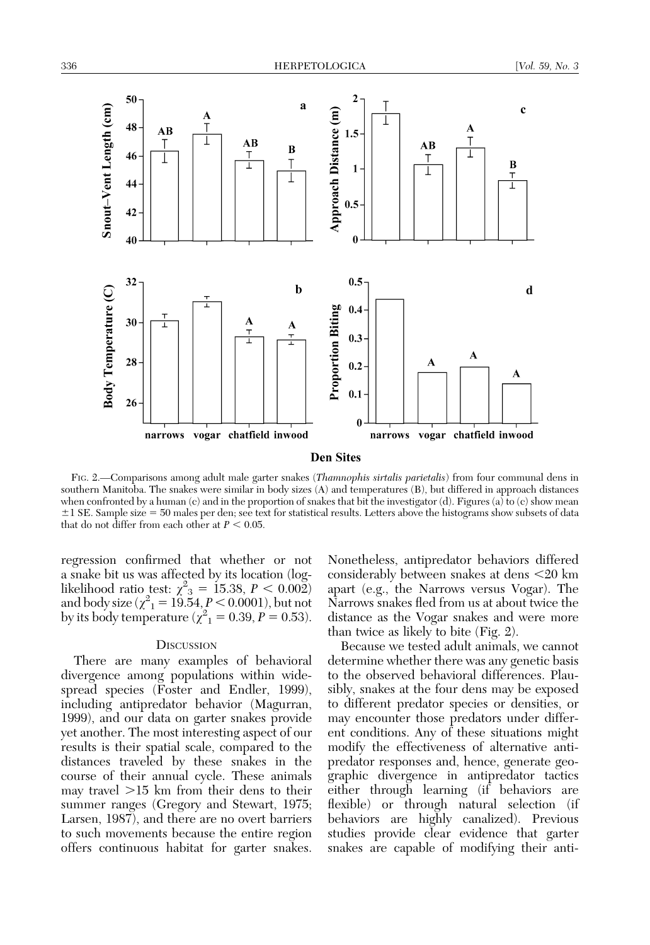

FIG. 2.—Comparisons among adult male garter snakes (Thamnophis sirtalis parietalis) from four communal dens in southern Manitoba. The snakes were similar in body sizes (A) and temperatures (B), but differed in approach distances when confronted by a human (c) and in the proportion of snakes that bit the investigator (d). Figures (a) to (c) show mean  $\pm 1$  SE. Sample size = 50 males per den; see text for statistical results. Letters above the histograms show subsets of data that do not differ from each other at  $P < 0.05$ .

regression confirmed that whether or not a snake bit us was affected by its location (loglikelihood ratio test:  $\chi^2_{3} = 15.38, P < 0.002$ ) and body size ( $\chi^2 = 19.54, P < 0.0001$ ), but not by its body temperature ( $\chi^2 = 0.39, P = 0.53$ ).

#### **DISCUSSION**

There are many examples of behavioral divergence among populations within widespread species (Foster and Endler, 1999), including antipredator behavior (Magurran, 1999), and our data on garter snakes provide yet another. The most interesting aspect of our results is their spatial scale, compared to the distances traveled by these snakes in the course of their annual cycle. These animals may travel  $>15$  km from their dens to their summer ranges (Gregory and Stewart, 1975; Larsen, 1987), and there are no overt barriers to such movements because the entire region offers continuous habitat for garter snakes.

Nonetheless, antipredator behaviors differed considerably between snakes at dens  $\leq$ 20 km apart (e.g., the Narrows versus Vogar). The Narrows snakes fled from us at about twice the distance as the Vogar snakes and were more than twice as likely to bite (Fig. 2).

Because we tested adult animals, we cannot determine whether there was any genetic basis to the observed behavioral differences. Plausibly, snakes at the four dens may be exposed to different predator species or densities, or may encounter those predators under different conditions. Any of these situations might modify the effectiveness of alternative antipredator responses and, hence, generate geographic divergence in antipredator tactics either through learning (if behaviors are flexible) or through natural selection (if behaviors are highly canalized). Previous studies provide clear evidence that garter snakes are capable of modifying their anti-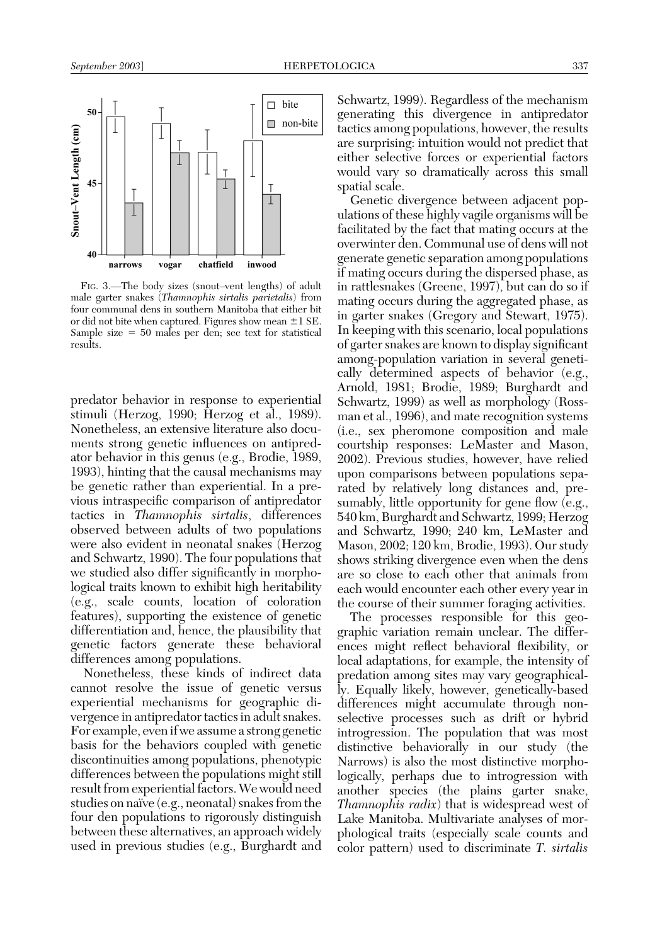

FIG. 3.—The body sizes (snout–vent lengths) of adult male garter snakes (Thamnophis sirtalis parietalis) from four communal dens in southern Manitoba that either bit or did not bite when captured. Figures show mean  $\pm 1$  SE. Sample size  $= 50$  males per den; see text for statistical results.

predator behavior in response to experiential stimuli (Herzog, 1990; Herzog et al., 1989). Nonetheless, an extensive literature also documents strong genetic influences on antipredator behavior in this genus (e.g., Brodie, 1989, 1993), hinting that the causal mechanisms may be genetic rather than experiential. In a previous intraspecific comparison of antipredator tactics in Thamnophis sirtalis, differences observed between adults of two populations were also evident in neonatal snakes (Herzog and Schwartz, 1990). The four populations that we studied also differ significantly in morphological traits known to exhibit high heritability (e.g., scale counts, location of coloration features), supporting the existence of genetic differentiation and, hence, the plausibility that genetic factors generate these behavioral differences among populations.

Nonetheless, these kinds of indirect data cannot resolve the issue of genetic versus experiential mechanisms for geographic divergence in antipredator tactics in adult snakes. For example, even if we assume a strong genetic basis for the behaviors coupled with genetic discontinuities among populations, phenotypic differences between the populations might still result from experiential factors. We would need studies on naïve  $(e.g.,$  neonatal) snakes from the four den populations to rigorously distinguish between these alternatives, an approach widely used in previous studies (e.g., Burghardt and Schwartz, 1999). Regardless of the mechanism generating this divergence in antipredator tactics among populations, however, the results are surprising: intuition would not predict that either selective forces or experiential factors would vary so dramatically across this small spatial scale.

Genetic divergence between adjacent populations of these highly vagile organisms will be facilitated by the fact that mating occurs at the overwinter den. Communal use of dens will not generate genetic separation among populations if mating occurs during the dispersed phase, as in rattlesnakes (Greene, 1997), but can do so if mating occurs during the aggregated phase, as in garter snakes (Gregory and Stewart, 1975). In keeping with this scenario, local populations of garter snakes are known to display significant among-population variation in several genetically determined aspects of behavior (e.g., Arnold, 1981; Brodie, 1989; Burghardt and Schwartz, 1999) as well as morphology (Rossman et al., 1996), and mate recognition systems (i.e., sex pheromone composition and male courtship responses: LeMaster and Mason, 2002). Previous studies, however, have relied upon comparisons between populations separated by relatively long distances and, presumably, little opportunity for gene flow (e.g., 540 km, Burghardt and Schwartz, 1999; Herzog and Schwartz, 1990; 240 km, LeMaster and Mason, 2002; 120 km, Brodie, 1993). Our study shows striking divergence even when the dens are so close to each other that animals from each would encounter each other every year in the course of their summer foraging activities.

The processes responsible for this geographic variation remain unclear. The differences might reflect behavioral flexibility, or local adaptations, for example, the intensity of predation among sites may vary geographically. Equally likely, however, genetically-based differences might accumulate through nonselective processes such as drift or hybrid introgression. The population that was most distinctive behaviorally in our study (the Narrows) is also the most distinctive morphologically, perhaps due to introgression with another species (the plains garter snake, Thamnophis radix) that is widespread west of Lake Manitoba. Multivariate analyses of morphological traits (especially scale counts and color pattern) used to discriminate T. sirtalis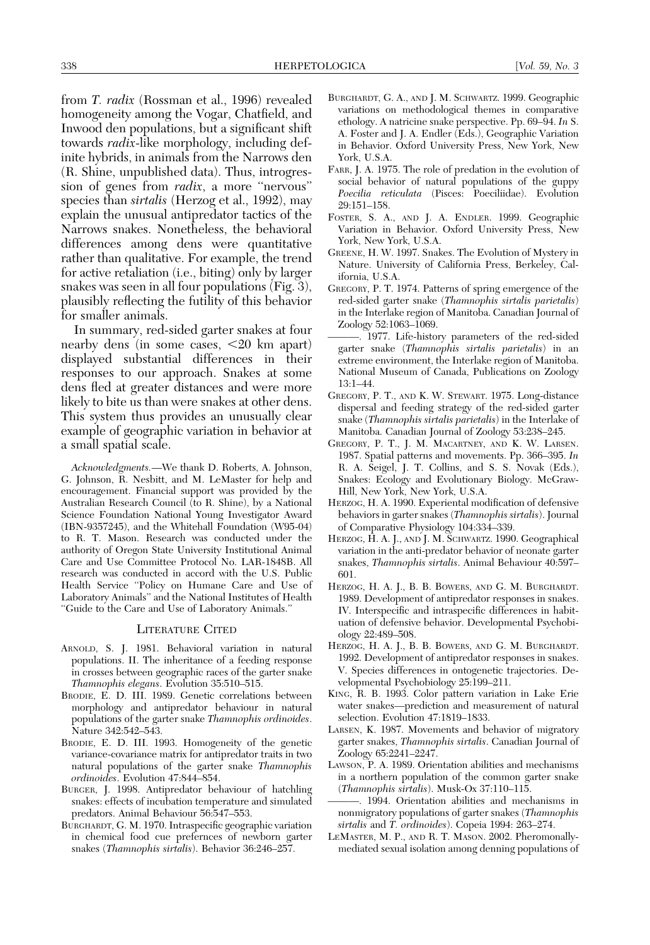from T. radix (Rossman et al., 1996) revealed homogeneity among the Vogar, Chatfield, and Inwood den populations, but a significant shift towards *radix*-like morphology, including definite hybrids, in animals from the Narrows den (R. Shine, unpublished data). Thus, introgression of genes from *radix*, a more "nervous" species than *sirtalis* (Herzog et al., 1992), may explain the unusual antipredator tactics of the Narrows snakes. Nonetheless, the behavioral differences among dens were quantitative rather than qualitative. For example, the trend for active retaliation (i.e., biting) only by larger snakes was seen in all four populations (Fig. 3), plausibly reflecting the futility of this behavior for smaller animals.

In summary, red-sided garter snakes at four nearby dens (in some cases,  $\langle 20 \text{ km} \text{ apart} \rangle$ displayed substantial differences in their responses to our approach. Snakes at some dens fled at greater distances and were more likely to bite us than were snakes at other dens. This system thus provides an unusually clear example of geographic variation in behavior at a small spatial scale.

Acknowledgments.—We thank D. Roberts, A. Johnson, G. Johnson, R. Nesbitt, and M. LeMaster for help and encouragement. Financial support was provided by the Australian Research Council (to R. Shine), by a National Science Foundation National Young Investigator Award (IBN-9357245), and the Whitehall Foundation (W95-04) to R. T. Mason. Research was conducted under the authority of Oregon State University Institutional Animal Care and Use Committee Protocol No. LAR-1848B. All research was conducted in accord with the U.S. Public Health Service ''Policy on Humane Care and Use of Laboratory Animals'' and the National Institutes of Health ''Guide to the Care and Use of Laboratory Animals.''

#### LITERATURE CITED

- ARNOLD, S. J. 1981. Behavioral variation in natural populations. II. The inheritance of a feeding response in crosses between geographic races of the garter snake Thamnophis elegans. Evolution 35:510–515.
- BRODIE, E. D. III. 1989. Genetic correlations between morphology and antipredator behaviour in natural populations of the garter snake Thamnophis ordinoides. Nature 342:542–543.
- BRODIE, E. D. III. 1993. Homogeneity of the genetic variance-covariance matrix for antipredator traits in two natural populations of the garter snake Thamnophis ordinoides. Evolution 47:844–854.
- BURGER, J. 1998. Antipredator behaviour of hatchling snakes: effects of incubation temperature and simulated predators. Animal Behaviour 56:547–553.
- BURGHARDT, G. M. 1970. Intraspecific geographic variation in chemical food cue prefernces of newborn garter snakes (Thamnophis sirtalis). Behavior 36:246–257.
- BURGHARDT, G. A., AND J. M. SCHWARTZ. 1999. Geographic variations on methodological themes in comparative ethology. A natricine snake perspective. Pp. 69–94. In S. A. Foster and J. A. Endler (Eds.), Geographic Variation in Behavior. Oxford University Press, New York, New York, U.S.A.
- FARR, J. A. 1975. The role of predation in the evolution of social behavior of natural populations of the guppy Poecilia reticulata (Pisces: Poeciliidae). Evolution 29:151–158.
- FOSTER, S. A., AND J. A. ENDLER. 1999. Geographic Variation in Behavior. Oxford University Press, New York, New York, U.S.A.
- GREENE, H. W. 1997. Snakes. The Evolution of Mystery in Nature. University of California Press, Berkeley, California, U.S.A.
- GREGORY, P. T. 1974. Patterns of spring emergence of the red-sided garter snake (Thamnophis sirtalis parietalis) in the Interlake region of Manitoba. Canadian Journal of Zoology 52:1063–1069.
- ———. 1977. Life-history parameters of the red-sided garter snake (Thamnophis sirtalis parietalis) in an extreme environment, the Interlake region of Manitoba. National Museum of Canada, Publications on Zoology 13:1–44.
- GREGORY, P. T., AND K. W. STEWART. 1975. Long-distance dispersal and feeding strategy of the red-sided garter snake (Thamnophis sirtalis parietalis) in the Interlake of Manitoba. Canadian Journal of Zoology 53:238–245.
- GREGORY, P. T., J. M. MACARTNEY, AND K. W. LARSEN. 1987. Spatial patterns and movements. Pp. 366–395. In R. A. Seigel, J. T. Collins, and S. S. Novak (Eds.), Snakes: Ecology and Evolutionary Biology. McGraw-Hill, New York, New York, U.S.A.
- HERZOG, H. A. 1990. Experiental modification of defensive behaviors in garter snakes (Thamnophis sirtalis). Journal of Comparative Physiology 104:334–339.
- HERZOG, H. A. J., AND J. M. SCHWARTZ. 1990. Geographical variation in the anti-predator behavior of neonate garter snakes, Thamnophis sirtalis. Animal Behaviour 40:597– 601.
- HERZOG, H. A. J., B. B. BOWERS, AND G. M. BURGHARDT. 1989. Development of antipredator responses in snakes. IV. Interspecific and intraspecific differences in habituation of defensive behavior. Developmental Psychobiology 22:489–508.
- HERZOG, H. A. J., B. B. BOWERS, AND G. M. BURGHARDT. 1992. Development of antipredator responses in snakes. V. Species differences in ontogenetic trajectories. Developmental Psychobiology 25:199–211.
- KING, R. B. 1993. Color pattern variation in Lake Erie water snakes—prediction and measurement of natural selection. Evolution 47:1819–1833.
- LARSEN, K. 1987. Movements and behavior of migratory garter snakes, Thamnophis sirtalis. Canadian Journal of Zoology 65:2241–2247.
- LAWSON, P. A. 1989. Orientation abilities and mechanisms in a northern population of the common garter snake (Thamnophis sirtalis). Musk-Ox 37:110–115.
- ———. 1994. Orientation abilities and mechanisms in nonmigratory populations of garter snakes (Thamnophis sirtalis and T. ordinoides). Copeia 1994: 263–274.
- LEMASTER, M. P., AND R. T. MASON. 2002. Pheromonallymediated sexual isolation among denning populations of